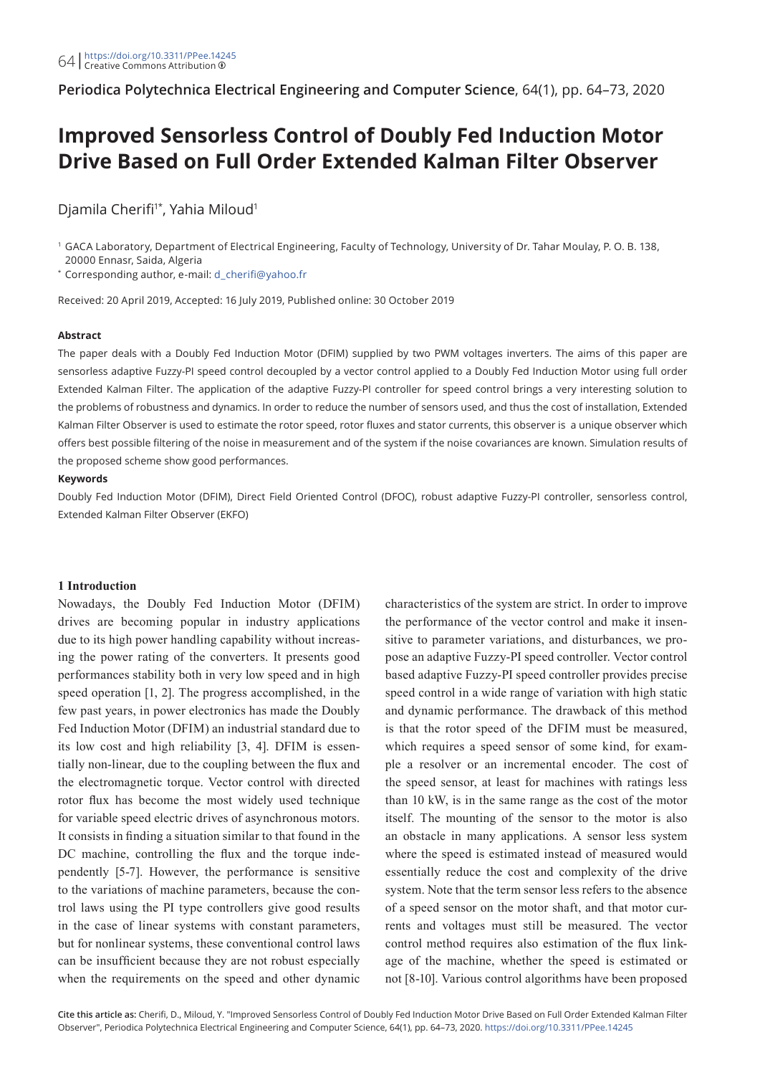**Periodica Polytechnica Electrical Engineering and Computer Science**, 64(1), pp. 64–73, 2020

# **Improved Sensorless Control of Doubly Fed Induction Motor Drive Based on Full Order Extended Kalman Filter Observer**

Djamila Cherifi<sup>1\*</sup>, Yahia Miloud<sup>1</sup>

<sup>1</sup> GACA Laboratory, Department of Electrical Engineering, Faculty of Technology, University of Dr. Tahar Moulay, P. O. B. 138, 20000 Ennasr, Saida, Algeria

\* Corresponding author, e-mail: [d\\_cherifi@yahoo.fr](mailto:d_cherifi@yahoo.fr)

Received: 20 April 2019, Accepted: 16 July 2019, Published online: 30 October 2019

## **Abstract**

The paper deals with a Doubly Fed Induction Motor (DFIM) supplied by two PWM voltages inverters. The aims of this paper are sensorless adaptive Fuzzy-PI speed control decoupled by a vector control applied to a Doubly Fed Induction Motor using full order Extended Kalman Filter. The application of the adaptive Fuzzy-PI controller for speed control brings a very interesting solution to the problems of robustness and dynamics. In order to reduce the number of sensors used, and thus the cost of installation, Extended Kalman Filter Observer is used to estimate the rotor speed, rotor fluxes and stator currents, this observer is a unique observer which offers best possible filtering of the noise in measurement and of the system if the noise covariances are known. Simulation results of the proposed scheme show good performances.

#### **Keywords**

Doubly Fed Induction Motor (DFIM), Direct Field Oriented Control (DFOC), robust adaptive Fuzzy-PI controller, sensorless control, Extended Kalman Filter Observer (EKFO)

# **1 Introduction**

Nowadays, the Doubly Fed Induction Motor (DFIM) drives are becoming popular in industry applications due to its high power handling capability without increasing the power rating of the converters. It presents good performances stability both in very low speed and in high speed operation [1, 2]. The progress accomplished, in the few past years, in power electronics has made the Doubly Fed Induction Motor (DFIM) an industrial standard due to its low cost and high reliability [3, 4]. DFIM is essentially non-linear, due to the coupling between the flux and the electromagnetic torque. Vector control with directed rotor flux has become the most widely used technique for variable speed electric drives of asynchronous motors. It consists in finding a situation similar to that found in the DC machine, controlling the flux and the torque independently [5-7]. However, the performance is sensitive to the variations of machine parameters, because the control laws using the PI type controllers give good results in the case of linear systems with constant parameters, but for nonlinear systems, these conventional control laws can be insufficient because they are not robust especially when the requirements on the speed and other dynamic

characteristics of the system are strict. In order to improve the performance of the vector control and make it insensitive to parameter variations, and disturbances, we propose an adaptive Fuzzy-PI speed controller. Vector control based adaptive Fuzzy-PI speed controller provides precise speed control in a wide range of variation with high static and dynamic performance. The drawback of this method is that the rotor speed of the DFIM must be measured, which requires a speed sensor of some kind, for example a resolver or an incremental encoder. The cost of the speed sensor, at least for machines with ratings less than 10 kW, is in the same range as the cost of the motor itself. The mounting of the sensor to the motor is also an obstacle in many applications. A sensor less system where the speed is estimated instead of measured would essentially reduce the cost and complexity of the drive system. Note that the term sensor less refers to the absence of a speed sensor on the motor shaft, and that motor currents and voltages must still be measured. The vector control method requires also estimation of the flux linkage of the machine, whether the speed is estimated or not [8-10]. Various control algorithms have been proposed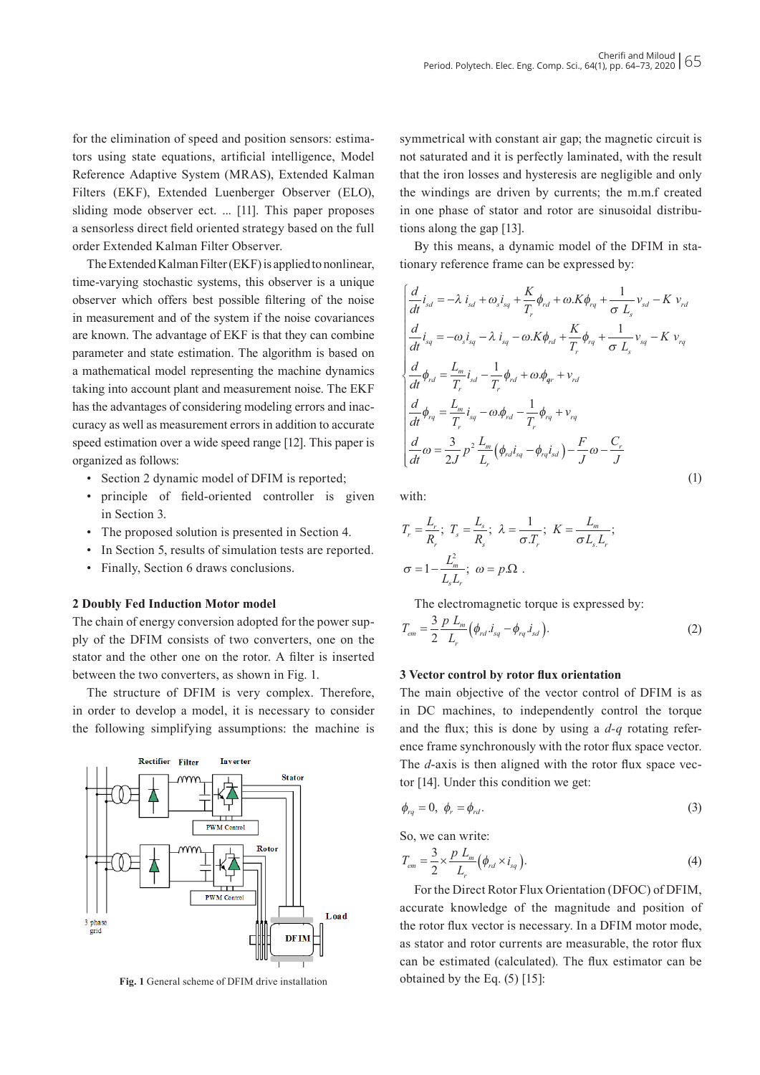for the elimination of speed and position sensors: estimators using state equations, artificial intelligence, Model Reference Adaptive System (MRAS), Extended Kalman Filters (EKF), Extended Luenberger Observer (ELO), sliding mode observer ect. ... [11]. This paper proposes a sensorless direct field oriented strategy based on the full order Extended Kalman Filter Observer.

The Extended Kalman Filter (EKF) is applied to nonlinear, time-varying stochastic systems, this observer is a unique observer which offers best possible filtering of the noise in measurement and of the system if the noise covariances are known. The advantage of EKF is that they can combine parameter and state estimation. The algorithm is based on a mathematical model representing the machine dynamics taking into account plant and measurement noise. The EKF has the advantages of considering modeling errors and inaccuracy as well as measurement errors in addition to accurate speed estimation over a wide speed range [12]. This paper is organized as follows:

- Section 2 dynamic model of DFIM is reported;
- principle of field-oriented controller is given in Section 3.
- The proposed solution is presented in Section 4.
- In Section 5, results of simulation tests are reported.
- Finally, Section 6 draws conclusions.

#### **2 Doubly Fed Induction Motor model**

The chain of energy conversion adopted for the power supply of the DFIM consists of two converters, one on the stator and the other one on the rotor. A filter is inserted between the two converters, as shown in Fig. 1.

The structure of DFIM is very complex. Therefore, in order to develop a model, it is necessary to consider the following simplifying assumptions: the machine is



**Fig. 1** General scheme of DFIM drive installation **butained** by the Eq. (5) [15]:

symmetrical with constant air gap; the magnetic circuit is not saturated and it is perfectly laminated, with the result that the iron losses and hysteresis are negligible and only the windings are driven by currents; the m.m.f created in one phase of stator and rotor are sinusoidal distributions along the gap [13].

By this means, a dynamic model of the DFIM in stationary reference frame can be expressed by:

$$
\begin{cases}\n\frac{d}{dt}i_{sd} = -\lambda i_{sd} + \omega_s i_{sq} + \frac{K}{T_r}\phi_{rd} + \omega_{r}K\phi_{rq} + \frac{1}{\sigma L_s}v_{sd} - K v_{rd} \\
\frac{d}{dt}i_{sq} = -\omega_s i_{sq} - \lambda i_{sq} - \omega_{r}K\phi_{rd} + \frac{K}{T_r}\phi_{rq} + \frac{1}{\sigma L_s}v_{sq} - K v_{rq} \\
\frac{d}{dt}\phi_{rd} = \frac{L_m}{T_r}i_{sd} - \frac{1}{T_r}\phi_{rd} + \omega_{r}A\phi_{qr} + v_{rd} \\
\frac{d}{dt}\phi_{rq} = \frac{L_m}{T_r}i_{sq} - \omega_{r}A_{rd} - \frac{1}{T_r}\phi_{rq} + v_{rq} \\
\frac{d}{dt}\omega = \frac{3}{2J}p^2 \frac{L_m}{L_r}(\phi_{rd}i_{sq} - \phi_{rq}i_{sd}) - \frac{F}{J}\omega - \frac{C_r}{J}\n\end{cases} \tag{1}
$$

with:

$$
T_r = \frac{L_r}{R_r}; \ T_s = \frac{L_s}{R_s}; \ \lambda = \frac{1}{\sigma T_r}; \ K = \frac{L_m}{\sigma L_s L_r};
$$
  

$$
\sigma = 1 - \frac{L_m^2}{L_s L_r}; \ \omega = p.\Omega.
$$

The electromagnetic torque is expressed by:

$$
T_{em} = \frac{3}{2} \frac{p L_m}{L_r} \left( \phi_{rd} . i_{sq} - \phi_{rq} . i_{sd} \right). \tag{2}
$$

#### **3 Vector control by rotor flux orientation**

The main objective of the vector control of DFIM is as in DC machines, to independently control the torque and the flux; this is done by using a *d-q* rotating reference frame synchronously with the rotor flux space vector. The *d*-axis is then aligned with the rotor flux space vector [14]. Under this condition we get:

$$
\phi_{rq} = 0, \ \phi_r = \phi_{rd}.\tag{3}
$$

So, we can write:

$$
T_{em} = \frac{3}{2} \times \frac{p L_m}{L_r} \left( \phi_{rd} \times i_{sq} \right). \tag{4}
$$

For the Direct Rotor Flux Orientation (DFOC) of DFIM, accurate knowledge of the magnitude and position of the rotor flux vector is necessary. In a DFIM motor mode, as stator and rotor currents are measurable, the rotor flux can be estimated (calculated). The flux estimator can be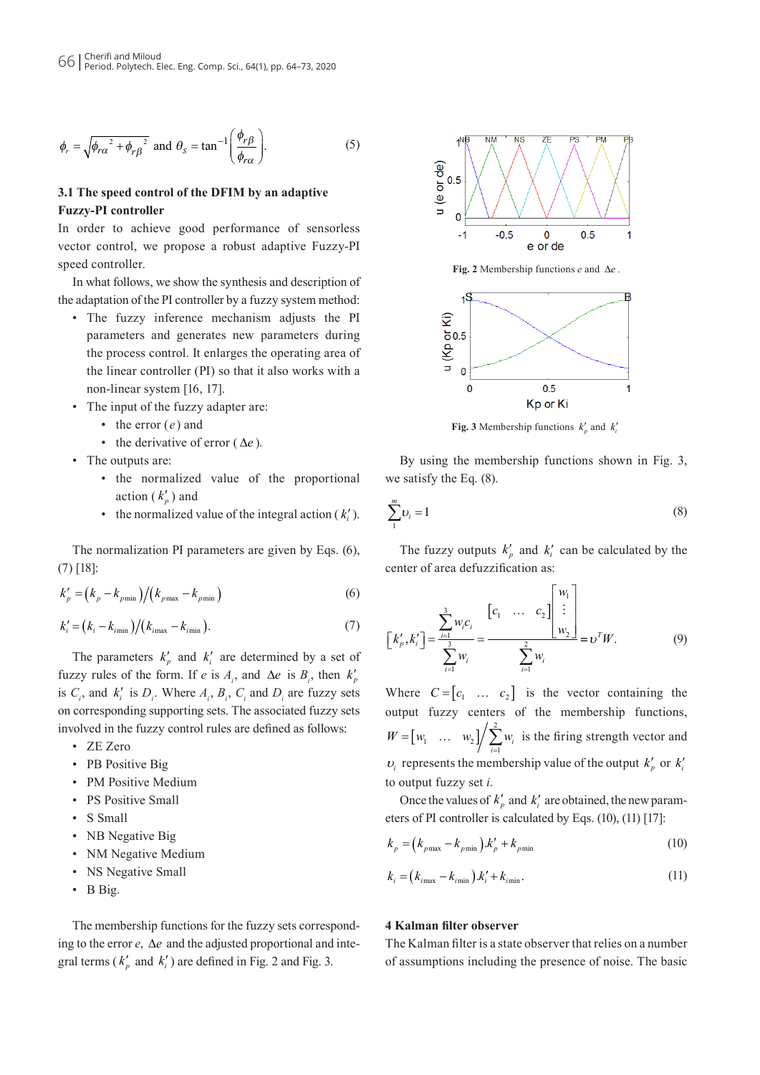$$
\phi_r = \sqrt{\phi_{r\alpha}^2 + \phi_{r\beta}^2} \text{ and } \theta_s = \tan^{-1} \left( \frac{\phi_{r\beta}}{\phi_{r\alpha}} \right). \tag{5}
$$

# **3.1 The speed control of the DFIM by an adaptive Fuzzy-PI controller**

In order to achieve good performance of sensorless vector control, we propose a robust adaptive Fuzzy-PI speed controller.

In what follows, we show the synthesis and description of the adaptation of the PI controller by a fuzzy system method:

- The fuzzy inference mechanism adjusts the PI parameters and generates new parameters during the process control. It enlarges the operating area of the linear controller (PI) so that it also works with a non-linear system [16, 17].
- The input of the fuzzy adapter are:
	- the error  $(e)$  and
	- the derivative of error ( ∆*e* ).
- The outputs are:
	- the normalized value of the proportional action  $(k'_{p})$  and
	- the normalized value of the integral action  $(k'_i)$ .

The normalization PI parameters are given by Eqs. (6), (7) [18]:

$$
k'_{p} = \left(k_{p} - k_{p\min}\right) \Big/ \left(k_{p\max} - k_{p\min}\right) \tag{6}
$$

$$
k'_{i} = (k_{i} - k_{i_{\min}})/(k_{i_{\max}} - k_{i_{\min}}).
$$
\n(7)

The parameters  $k'_p$  and  $k'_i$  are determined by a set of fuzzy rules of the form. If *e* is  $A_i$ , and  $\Delta e$  is  $B_i$ , then  $k'_p$ is  $C_i$ , and  $k'_i$  is  $D_i$ . Where  $A_i$ ,  $B_i$ ,  $C_i$  and  $D_i$  are fuzzy sets on corresponding supporting sets. The associated fuzzy sets involved in the fuzzy control rules are defined as follows:

- ZE Zero
- PB Positive Big
- PM Positive Medium
- PS Positive Small
- S Small
- NB Negative Big
- NM Negative Medium
- NS Negative Small
- B Big.

The membership functions for the fuzzy sets corresponding to the error *e*, ∆*e* and the adjusted proportional and integral terms ( $k'_p$  and  $k'_i$ ) are defined in Fig. 2 and Fig. 3.



**Fig. 2** Membership functions *e* and ∆*e* .



**Fig. 3** Membership functions  $k'_n$  and  $k'_i$ 

By using the membership functions shown in Fig. 3, we satisfy the Eq. (8).

$$
\sum_{1}^{m} \nu_i = 1 \tag{8}
$$

The fuzzy outputs  $k'_p$  and  $k'_i$  can be calculated by the center of area defuzzification as:

$$
\[k'_{p}, k'_{i}\] = \frac{\sum_{i=1}^{3} w_{i} c_{i}}{\sum_{i=1}^{3} w_{i}} = \frac{\begin{bmatrix} c_{1} & \dots & c_{2} \end{bmatrix} \begin{bmatrix} w_{1} \\ \vdots \\ w_{2} \end{bmatrix}}{\sum_{i=1}^{2} w_{i}} = v^{T} W.
$$
(9)

Where  $C = [c_1 \dots c_2]$  is the vector containing the output fuzzy centers of the membership functions,  $W = \begin{bmatrix} w_1 & \dots & w_2 \end{bmatrix} / \sum_{i=1}^N w_i$  $=[w_1 \dots w_2]/\sum_{i=1}^2 w_i$  is the firing strength vector and  $v_i$  represents the membership value of the output  $k'_p$  or  $k'_i$ to output fuzzy set *i*.

Once the values of  $k'_p$  and  $k'_i$  are obtained, the new parameters of PI controller is calculated by Eqs. (10), (11) [17]:

$$
k_p = (k_{p\max} - k_{p\min}) \cdot k'_p + k_{p\min} \tag{10}
$$

$$
k_i = (k_{i\text{max}} - k_{i\text{min}}) \cdot k'_i + k_{i\text{min}}.\tag{11}
$$

#### **4 Kalman filter observer**

The Kalman filter is a state observer that relies on a number of assumptions including the presence of noise. The basic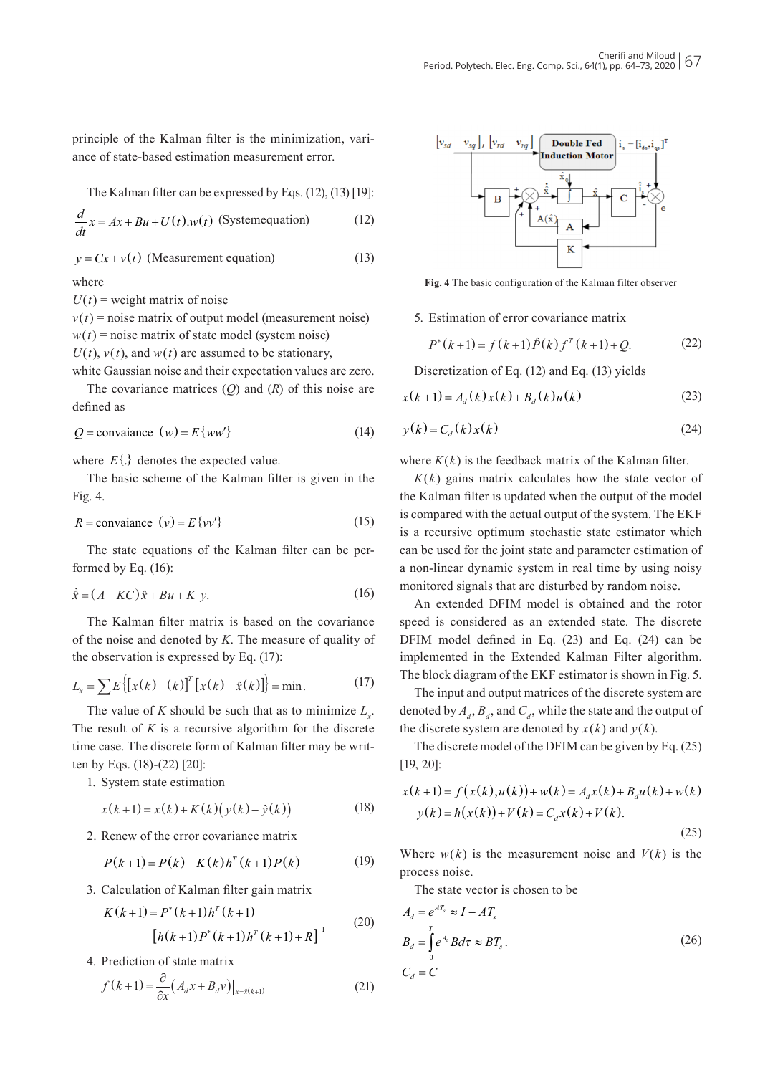principle of the Kalman filter is the minimization, variance of state-based estimation measurement error.

The Kalman filter can be expressed by Eqs. (12), (13) [19]:

$$
\frac{d}{dt}x = Ax + Bu + U(t) \cdot w(t)
$$
 (System equation) (12)

$$
y = Cx + v(t)
$$
 (Measurement equation) (13)

where

 $U(t)$  = weight matrix of noise

 $v(t)$  = noise matrix of output model (measurement noise)  $w(t)$  = noise matrix of state model (system noise)

 $U(t)$ ,  $v(t)$ , and  $w(t)$  are assumed to be stationary,

white Gaussian noise and their expectation values are zero.

The covariance matrices (*Q*) and (*R*) of this noise are defined as

$$
Q = \text{convariance} \ (w) = E\{ww'\} \tag{14}
$$

where  $E\{\}$  denotes the expected value.

The basic scheme of the Kalman filter is given in the Fig. 4.

$$
R = \text{convariance} \ (v) = E\{vv'\} \tag{15}
$$

The state equations of the Kalman filter can be performed by Eq. (16):

$$
\dot{\hat{x}} = (A - KC)\hat{x} + Bu + Ky.
$$
\n(16)

The Kalman filter matrix is based on the covariance of the noise and denoted by *K*. The measure of quality of the observation is expressed by Eq. (17):

$$
L_x = \sum E\{ [x(k) - (k)]^T [x(k) - \hat{x}(k)] \} = \min.
$$
 (17)

The value of *K* should be such that as to minimize  $L<sub>x</sub>$ . The result of *K* is a recursive algorithm for the discrete time case. The discrete form of Kalman filter may be written by Eqs. (18)-(22) [20]:

1. System state estimation

$$
x(k+1) = x(k) + K(k)(y(k) - \hat{y}(k))
$$
 (18)

2. Renew of the error covariance matrix

$$
P(k+1) = P(k) - K(k)h^{T}(k+1)P(k)
$$
 (19)

3. Calculation of Kalman filter gain matrix

$$
K(k+1) = P^*(k+1)h^T(k+1)
$$
  

$$
[h(k+1)P^*(k+1)h^T(k+1)+R]^{-1}
$$
 (20)

4. Prediction of state matrix

$$
f(k+1) = \frac{\partial}{\partial x} (A_d x + B_d y)|_{x = \hat{x}(k+1)}
$$
 (21)



**Fig. 4** The basic configuration of the Kalman filter observer

5. Estimation of error covariance matrix

$$
P^*(k+1) = f(k+1)\hat{P}(k)f^T(k+1) + Q.
$$
 (22)

Discretization of Eq. (12) and Eq. (13) yields

$$
x(k+1) = A_d(k)x(k) + B_d(k)u(k)
$$
 (23)

$$
y(k) = C_d(k)x(k)
$$
 (24)

where  $K(k)$  is the feedback matrix of the Kalman filter.

 $K(k)$  gains matrix calculates how the state vector of the Kalman filter is updated when the output of the model is compared with the actual output of the system. The EKF is a recursive optimum stochastic state estimator which can be used for the joint state and parameter estimation of a non-linear dynamic system in real time by using noisy monitored signals that are disturbed by random noise.

An extended DFIM model is obtained and the rotor speed is considered as an extended state. The discrete DFIM model defined in Eq. (23) and Eq. (24) can be implemented in the Extended Kalman Filter algorithm. The block diagram of the EKF estimator is shown in Fig. 5.

The input and output matrices of the discrete system are denoted by  $A_d$ ,  $B_d$ , and  $C_d$ , while the state and the output of the discrete system are denoted by  $x(k)$  and  $y(k)$ .

The discrete model of the DFIM can be given by Eq. (25) [19, 20]:

$$
x(k+1) = f(x(k), u(k)) + w(k) = A_d x(k) + B_d u(k) + w(k)
$$
  

$$
y(k) = h(x(k)) + V(k) = C_d x(k) + V(k).
$$
 (25)

Where  $w(k)$  is the measurement noise and  $V(k)$  is the process noise.

The state vector is chosen to be

$$
A_d = e^{AT_s} \approx I - AT_s
$$
  
\n
$$
B_d = \int_0^T e^{A_t} B d\tau \approx BT_s.
$$
  
\n
$$
C_d = C
$$
\n(26)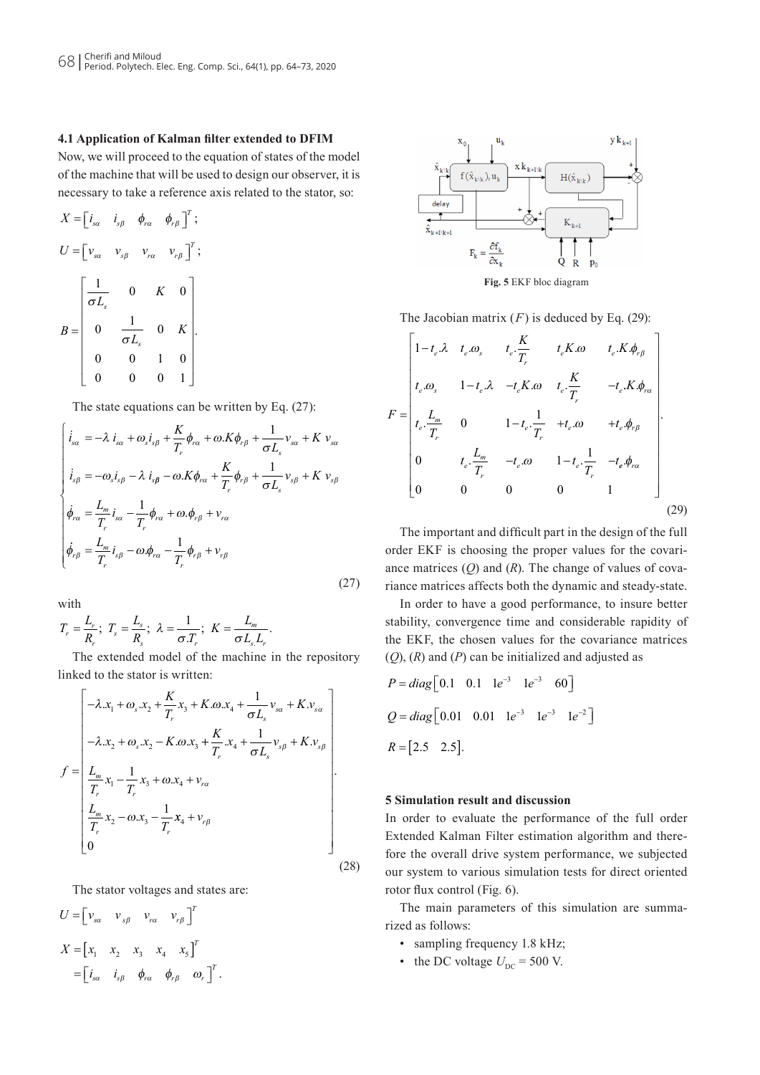#### **4.1 Application of Kalman filter extended to DFIM**

Now, we will proceed to the equation of states of the model of the machine that will be used to design our observer, it is necessary to take a reference axis related to the stator, so:

$$
X = \begin{bmatrix} i_{sa} & i_{s\beta} & \phi_{ra} & \phi_{r\beta} \end{bmatrix}^T;
$$
\n
$$
U = \begin{bmatrix} v_{sa} & v_{s\beta} & v_{ra} & v_{r\beta} \end{bmatrix}^T;
$$
\n
$$
B = \begin{bmatrix} \frac{1}{\sigma L_s} & 0 & K & 0 \\ 0 & \frac{1}{\sigma L_s} & 0 & K \\ 0 & 0 & 1 & 0 \\ 0 & 0 & 0 & 1 \end{bmatrix}.
$$

The state equations can be written by Eq. (27):

$$
\begin{cases}\ni_{s\alpha} = -\lambda i_{s\alpha} + \omega_s i_{s\beta} + \frac{K}{T_r} \phi_{r\alpha} + \omega \cdot K \phi_{r\beta} + \frac{1}{\sigma L_s} v_{s\alpha} + K v_{s\alpha} \\
i_{s\beta} = -\omega_s i_{s\beta} - \lambda i_{s\beta} - \omega \cdot K \phi_{r\alpha} + \frac{K}{T_r} \phi_{r\beta} + \frac{1}{\sigma L_s} v_{s\beta} + K v_{s\beta} \\
\phi_{r\alpha} = \frac{L_m}{T_r} i_{s\alpha} - \frac{1}{T_r} \phi_{r\alpha} + \omega \cdot \phi_{r\beta} + v_{r\alpha} \\
\phi_{r\beta} = \frac{L_m}{T_r} i_{s\beta} - \omega \cdot \phi_{r\alpha} - \frac{1}{T_r} \phi_{r\beta} + v_{r\beta}\n\end{cases}
$$
\n(27)

with

$$
T_r = \frac{L_r}{R_r}; \ T_s = \frac{L_s}{R_s}; \ \lambda = \frac{1}{\sigma T_r}; \ K = \frac{L_m}{\sigma L_s L_r}.
$$

The extended model of the machine in the repository linked to the stator is written:

$$
f = \begin{bmatrix} -\lambda x_1 + \omega_s x_2 + \frac{K}{T_r} x_3 + K \omega x_4 + \frac{1}{\sigma L_s} v_{sa} + K v_{sa} \\ -\lambda x_2 + \omega_s x_2 - K \omega x_3 + \frac{K}{T_r} x_4 + \frac{1}{\sigma L_s} v_{s\beta} + K v_{s\beta} \\ \frac{L_m}{T_r} x_1 - \frac{1}{T_r} x_3 + \omega x_4 + v_{ra} \\ \frac{L_m}{T_r} x_2 - \omega x_3 - \frac{1}{T_r} x_4 + v_{r\beta} \\ 0 \end{bmatrix} .
$$
 (28)

The stator voltages and states are:

 $U = \begin{bmatrix} v_{sa} & v_{s\beta} & v_{ra} & v_{r\beta} \end{bmatrix}^T$  $X = \begin{bmatrix} x_1 & x_2 & x_3 & x_4 & x_5 \end{bmatrix}^T$  $i_{s\alpha}$   $i_{s\beta}$   $\phi_{r\alpha}$   $\phi_{r\beta}$   $\omega_r$  $=\begin{bmatrix} i_{s\alpha} & i_{s\beta} & \phi_{r\alpha} & \phi_{r\beta} & \omega_r \end{bmatrix}^T.$ 



The Jacobian matrix  $(F)$  is deduced by Eq. (29):

$$
F = \begin{bmatrix} 1-t_e.\lambda & t_e.\omega_s & t_e.\frac{K}{T_r} & t_eK.\omega & t_e.K.\phi_{r\beta} \\ t_e.\omega_s & 1-t_e.\lambda & -t_eK.\omega & t_e.\frac{K}{T_r} & -t_e.K.\phi_{r\alpha} \\ t_e.\frac{L_m}{T_r} & 0 & 1-t_e.\frac{1}{T_r} & +t_e.\omega & +t_e.\phi_{r\beta} \\ 0 & t_e.\frac{L_m}{T_r} & -t_e.\omega & 1-t_e.\frac{1}{T_r} & -t_e.\phi_{r\alpha} \\ 0 & 0 & 0 & 0 & 1 \end{bmatrix}.
$$
 (29)

The important and difficult part in the design of the full order EKF is choosing the proper values for the covariance matrices (*Q*) and (*R*). The change of values of covariance matrices affects both the dynamic and steady-state.

In order to have a good performance, to insure better stability, convergence time and considerable rapidity of the EKF, the chosen values for the covariance matrices (*Q*), (*R*) and (*P*) can be initialized and adjusted as

$$
P = diag\begin{bmatrix} 0.1 & 0.1 & 1e^{-3} & 1e^{-3} & 60 \end{bmatrix}
$$
  

$$
Q = diag\begin{bmatrix} 0.01 & 0.01 & 1e^{-3} & 1e^{-3} & 1e^{-2} \end{bmatrix}
$$
  

$$
R = [2.5 \quad 2.5].
$$

#### **5 Simulation result and discussion**

In order to evaluate the performance of the full order Extended Kalman Filter estimation algorithm and therefore the overall drive system performance, we subjected our system to various simulation tests for direct oriented rotor flux control (Fig. 6).

The main parameters of this simulation are summarized as follows:

- sampling frequency 1.8 kHz;
- the DC voltage  $U_{\text{DC}}$  = 500 V.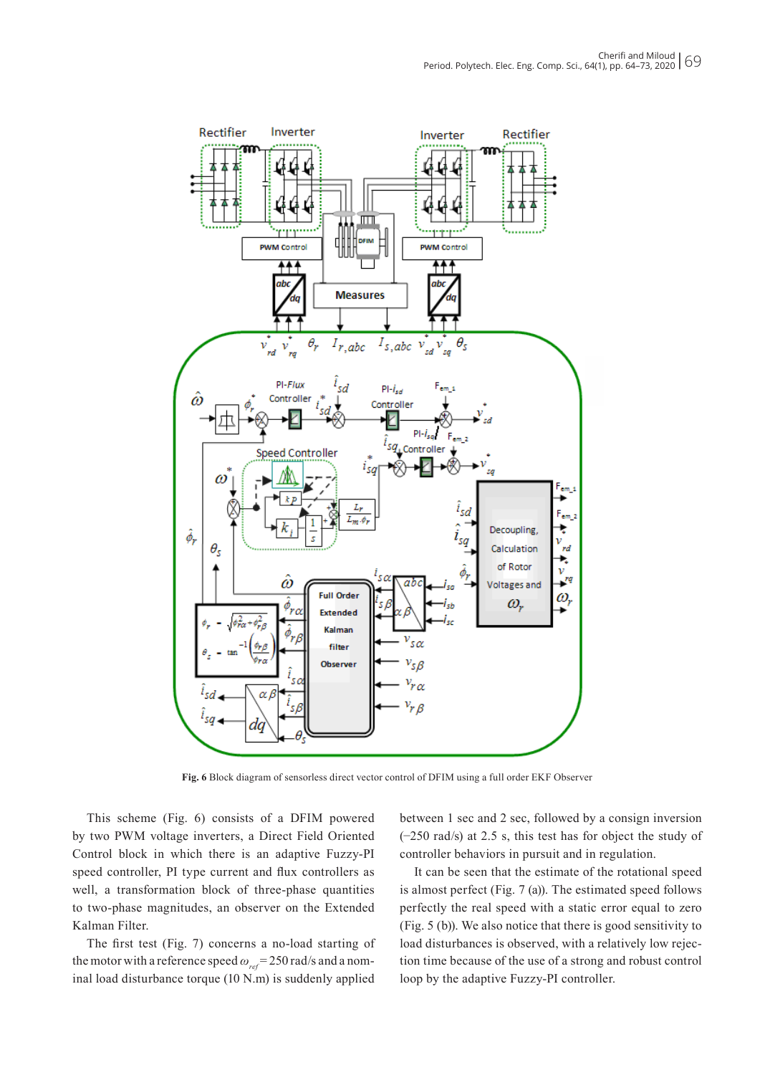

**Fig. 6** Block diagram of sensorless direct vector control of DFIM using a full order EKF Observer

This scheme (Fig. 6) consists of a DFIM powered by two PWM voltage inverters, a Direct Field Oriented Control block in which there is an adaptive Fuzzy-PI speed controller, PI type current and flux controllers as well, a transformation block of three-phase quantities to two-phase magnitudes, an observer on the Extended Kalman Filter.

The first test (Fig. 7) concerns a no-load starting of the motor with a reference speed  $\omega_{ref} = 250 \text{ rad/s}$  and a nominal load disturbance torque (10 N.m) is suddenly applied

between 1 sec and 2 sec, followed by a consign inversion (−250 rad/s) at 2.5 s, this test has for object the study of controller behaviors in pursuit and in regulation.

It can be seen that the estimate of the rotational speed is almost perfect (Fig. 7 (a)). The estimated speed follows perfectly the real speed with a static error equal to zero (Fig. 5 (b)). We also notice that there is good sensitivity to load disturbances is observed, with a relatively low rejection time because of the use of a strong and robust control loop by the adaptive Fuzzy-PI controller.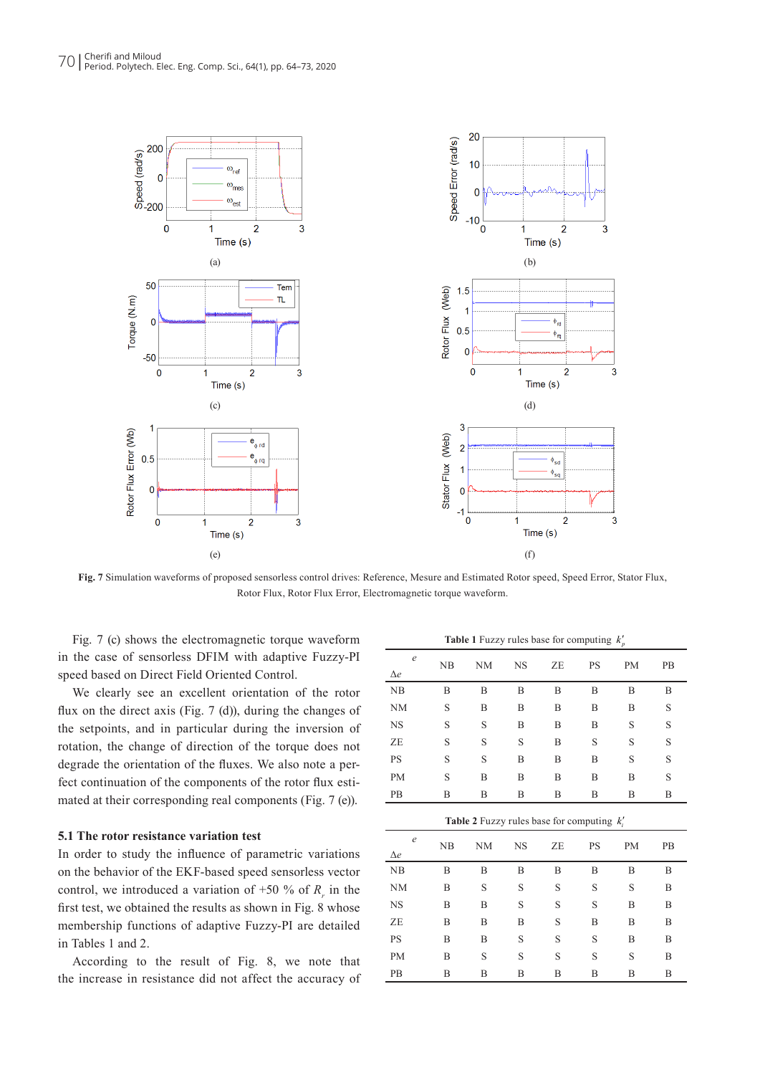

**Fig. 7** Simulation waveforms of proposed sensorless control drives: Reference, Mesure and Estimated Rotor speed, Speed Error, Stator Flux, Rotor Flux, Rotor Flux Error, Electromagnetic torque waveform.

Fig. 7 (c) shows the electromagnetic torque waveform in the case of sensorless DFIM with adaptive Fuzzy-PI speed based on Direct Field Oriented Control.

We clearly see an excellent orientation of the rotor flux on the direct axis (Fig. 7 (d)), during the changes of the setpoints, and in particular during the inversion of rotation, the change of direction of the torque does not degrade the orientation of the fluxes. We also note a perfect continuation of the components of the rotor flux estimated at their corresponding real components (Fig. 7 (e)).

## **5.1 The rotor resistance variation test**

In order to study the influence of parametric variations on the behavior of the EKF-based speed sensorless vector control, we introduced a variation of  $+50\%$  of  $R_r$  in the first test, we obtained the results as shown in Fig. 8 whose membership functions of adaptive Fuzzy-PI are detailed in Tables 1 and 2.

According to the result of Fig. 8, we note that the increase in resistance did not affect the accuracy of

| <b>Table 1</b> Fuzzy rules base for computing $k'_p$ |  |
|------------------------------------------------------|--|
|------------------------------------------------------|--|

| $\boldsymbol{e}$<br>$\Delta e$ | NB | <b>NM</b> | <b>NS</b> | ZE | <b>PS</b> | <b>PM</b> | PB |
|--------------------------------|----|-----------|-----------|----|-----------|-----------|----|
| NB                             | B  | B         | B         | B  | B         | B         | B  |
| <b>NM</b>                      | S  | B         | B         | B  | B         | B         | S  |
| <b>NS</b>                      | S  | S         | B         | B  | B         | S         | S  |
| ZE                             | S  | S         | S         | B  | S         | S         | S  |
| PS                             | S  | S         | B         | B  | B         | S         | S  |
| <b>PM</b>                      | S  | B         | B         | B  | B         | B         | S  |
| PB                             | B  | B         | B         | B  | B         | B         | B  |

## **Table 2** Fuzzy rules base for computing *k*<sup>'</sup>

| e<br>$\Delta e$ | NB | <b>NM</b> | <b>NS</b> | ZE | <b>PS</b> | <b>PM</b> | PB |
|-----------------|----|-----------|-----------|----|-----------|-----------|----|
| NB              | B  | B         | B         | B  | B         | B         | B  |
| <b>NM</b>       | B  | S         | S         | S  | S         | S         | B  |
| <b>NS</b>       | B  | B         | S         | S  | S         | B         | B  |
| ZE              | B  | B         | B         | S  | B         | B         | B  |
| PS              | B  | B         | S         | S  | S         | B         | B  |
| <b>PM</b>       | B  | S         | S         | S  | S         | S         | B  |
| PB              | B  | B         | B         | B  | B         | B         | B  |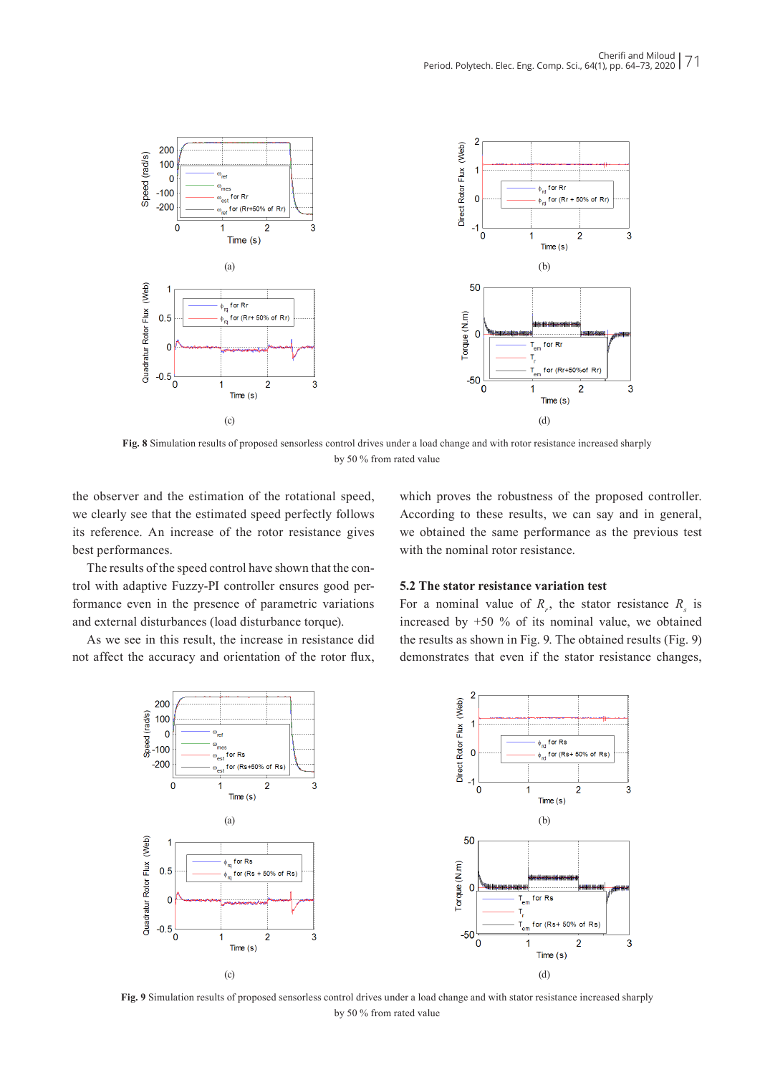

**Fig. 8** Simulation results of proposed sensorless control drives under a load change and with rotor resistance increased sharply by 50 % from rated value

the observer and the estimation of the rotational speed, we clearly see that the estimated speed perfectly follows its reference. An increase of the rotor resistance gives best performances.

The results of the speed control have shown that the control with adaptive Fuzzy-PI controller ensures good performance even in the presence of parametric variations and external disturbances (load disturbance torque).

As we see in this result, the increase in resistance did not affect the accuracy and orientation of the rotor flux, which proves the robustness of the proposed controller. According to these results, we can say and in general, we obtained the same performance as the previous test with the nominal rotor resistance.

# **5.2 The stator resistance variation test**

For a nominal value of  $R_r$ , the stator resistance  $R_s$  is increased by +50 % of its nominal value, we obtained the results as shown in Fig. 9. The obtained results (Fig. 9) demonstrates that even if the stator resistance changes,



**Fig. 9** Simulation results of proposed sensorless control drives under a load change and with stator resistance increased sharply by 50 % from rated value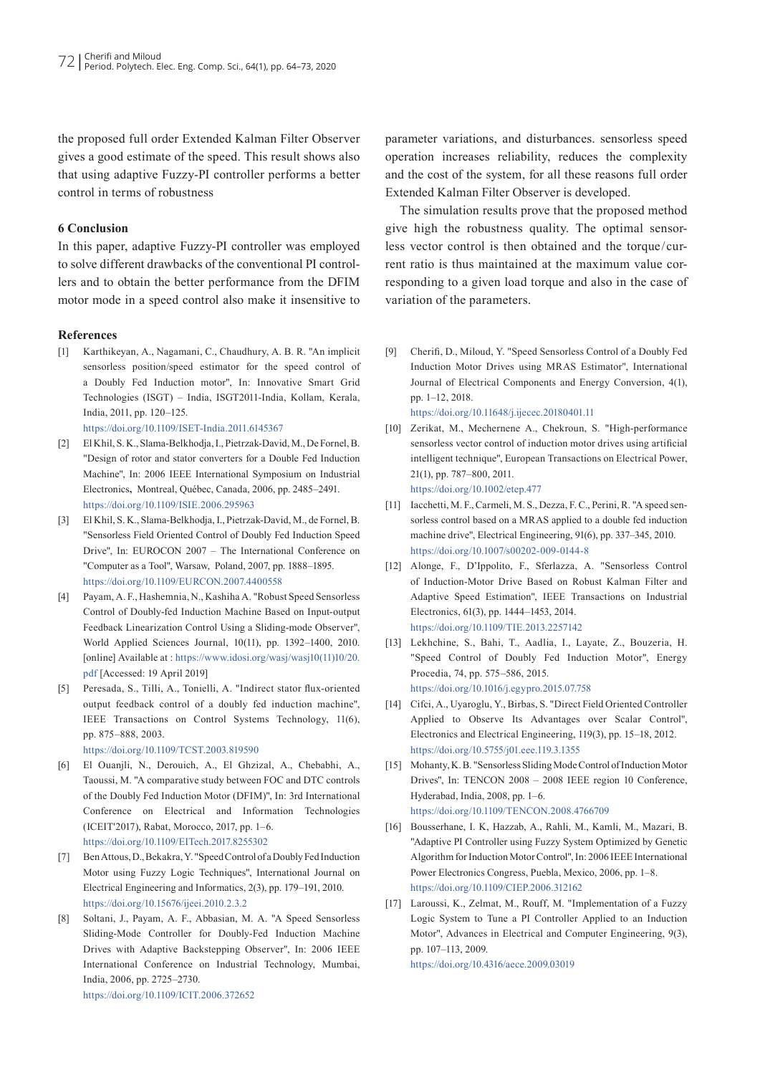the proposed full order Extended Kalman Filter Observer gives a good estimate of the speed. This result shows also that using adaptive Fuzzy-PI controller performs a better control in terms of robustness

#### **6 Conclusion**

In this paper, adaptive Fuzzy-PI controller was employed to solve different drawbacks of the conventional PI controllers and to obtain the better performance from the DFIM motor mode in a speed control also make it insensitive to

#### **References**

[1] Karthikeyan, A., Nagamani, C., Chaudhury, A. B. R. "An implicit sensorless position/speed estimator for the speed control of a Doubly Fed Induction motor", In: Innovative Smart Grid Technologies (ISGT) – India, ISGT2011-India, Kollam, Kerala, India, 2011, pp. 120–125.

<https://doi.org/10.1109/ISET-India.2011.6145367>

- [2] El Khil, S. K., Slama-Belkhodja, I., Pietrzak-David, M., De Fornel,B. "Design of rotor and stator converters for a Double Fed Induction Machine", In: 2006 IEEE International Symposium on Industrial Electronics**,** Montreal, Québec, Canada, 2006, pp. 2485–2491. <https://doi.org/10.1109/ISIE.2006.295963>
- [3] El Khil, S. K., Slama-Belkhodja, I., Pietrzak-David, M., de Fornel,B. "Sensorless Field Oriented Control of Doubly Fed Induction Speed Drive", In: EUROCON 2007 – The International Conference on "Computer as a Tool", Warsaw, Poland, 2007, pp. 1888–1895. <https://doi.org/10.1109/EURCON.2007.4400558>
- [4] Payam, A. F., Hashemnia, N., Kashiha A. "Robust Speed Sensorless Control of Doubly-fed Induction Machine Based on Input-output Feedback Linearization Control Using a Sliding-mode Observer", World Applied Sciences Journal, 10(11), pp. 1392–1400, 2010. [online] Available at : [https://www.idosi.org/wasj/wasj10\(11\)10/20.](https://www.idosi.org/wasj/wasj10(11)10/20.pdf) [pdf](https://www.idosi.org/wasj/wasj10(11)10/20.pdf) [Accessed: 19 April 2019]
- [5] Peresada, S., Tilli, A., Tonielli, A. "Indirect stator flux-oriented output feedback control of a doubly fed induction machine", IEEE Transactions on Control Systems Technology, 11(6), pp. 875–888, 2003.

<https://doi.org/10.1109/TCST.2003.819590>

- [6] El Ouanjli, N., Derouich, A., El Ghzizal, A., Chebabhi, A., Taoussi, M. "A comparative study between FOC and DTC controls of the Doubly Fed Induction Motor (DFIM)", In: 3rd International Conference on Electrical and Information Technologies (ICEIT'2017), Rabat, Morocco, 2017, pp. 1–6. <https://doi.org/10.1109/EITech.2017.8255302>
- [7] Ben Attous, D., Bekakra, Y. "Speed Control of a Doubly Fed Induction Motor using Fuzzy Logic Techniques", International Journal on Electrical Engineering and Informatics, 2(3), pp. 179–191, 2010. <https://doi.org/10.15676/ijeei.2010.2.3.2>
- [8] Soltani, J., Payam, A. F., Abbasian, M. A. "A Speed Sensorless Sliding-Mode Controller for Doubly-Fed Induction Machine Drives with Adaptive Backstepping Observer", In: 2006 IEEE International Conference on Industrial Technology, Mumbai, India, 2006, pp. 2725–2730. <https://doi.org/10.1109/ICIT.2006.372652>

parameter variations, and disturbances. sensorless speed operation increases reliability, reduces the complexity and the cost of the system, for all these reasons full order Extended Kalman Filter Observer is developed.

The simulation results prove that the proposed method give high the robustness quality. The optimal sensorless vector control is then obtained and the torque/current ratio is thus maintained at the maximum value corresponding to a given load torque and also in the case of variation of the parameters.

[9] Cherifi, D., Miloud, Y. "Speed Sensorless Control of a Doubly Fed Induction Motor Drives using MRAS Estimator", International Journal of Electrical Components and Energy Conversion, 4(1), pp. 1–12, 2018.

<https://doi.org/10.11648/j.ijecec.20180401.11>

- [10] Zerikat, M., Mechernene A., Chekroun, S. "High-performance sensorless vector control of induction motor drives using artificial intelligent technique", European Transactions on Electrical Power, 21(1), pp. 787–800, 2011. <https://doi.org/10.1002/etep.477>
- [11] Iacchetti, M. F., Carmeli, M. S., Dezza, F. C., Perini, R. "A speed sensorless control based on a MRAS applied to a double fed induction machine drive", Electrical Engineering, 91(6), pp. 337–345, 2010. <https://doi.org/10.1007/s00202-009-0144-8>
- [12] Alonge, F., D'Ippolito, F., Sferlazza, A. "Sensorless Control of Induction-Motor Drive Based on Robust Kalman Filter and Adaptive Speed Estimation", IEEE Transactions on Industrial Electronics, 61(3), pp. 1444–1453, 2014. <https://doi.org/10.1109/TIE.2013.2257142>
- [13] Lekhchine, S., Bahi, T., Aadlia, I., Layate, Z., Bouzeria, H. "Speed Control of Doubly Fed Induction Motor", Energy Procedia, 74, pp. 575–586, 2015. <https://doi.org/10.1016/j.egypro.2015.07.758>
- [14] Cifci, A., Uyaroglu, Y., Birbas, S. "Direct Field Oriented Controller Applied to Observe Its Advantages over Scalar Control", Electronics and Electrical Engineering, 119(3), pp. 15–18, 2012. <https://doi.org/10.5755/j01.eee.119.3.1355>
- [15] Mohanty, K. B. "Sensorless Sliding Mode Control of Induction Motor Drives", In: TENCON 2008 – 2008 IEEE region 10 Conference, Hyderabad, India, 2008, pp. 1–6. <https://doi.org/10.1109/TENCON.2008.4766709>
- [16] Bousserhane, I. K, Hazzab, A., Rahli, M., Kamli, M., Mazari, B. "Adaptive PI Controller using Fuzzy System Optimized by Genetic Algorithm for Induction Motor Control", In: 2006 IEEE International Power Electronics Congress, Puebla, Mexico, 2006, pp. 1–8. <https://doi.org/10.1109/CIEP.2006.312162>
- [17] Laroussi, K., Zelmat, M., Rouff, M. "Implementation of a Fuzzy Logic System to Tune a PI Controller Applied to an Induction Motor", Advances in Electrical and Computer Engineering, 9(3), pp. 107–113, 2009.

<https://doi.org/10.4316/aece.2009.03019>